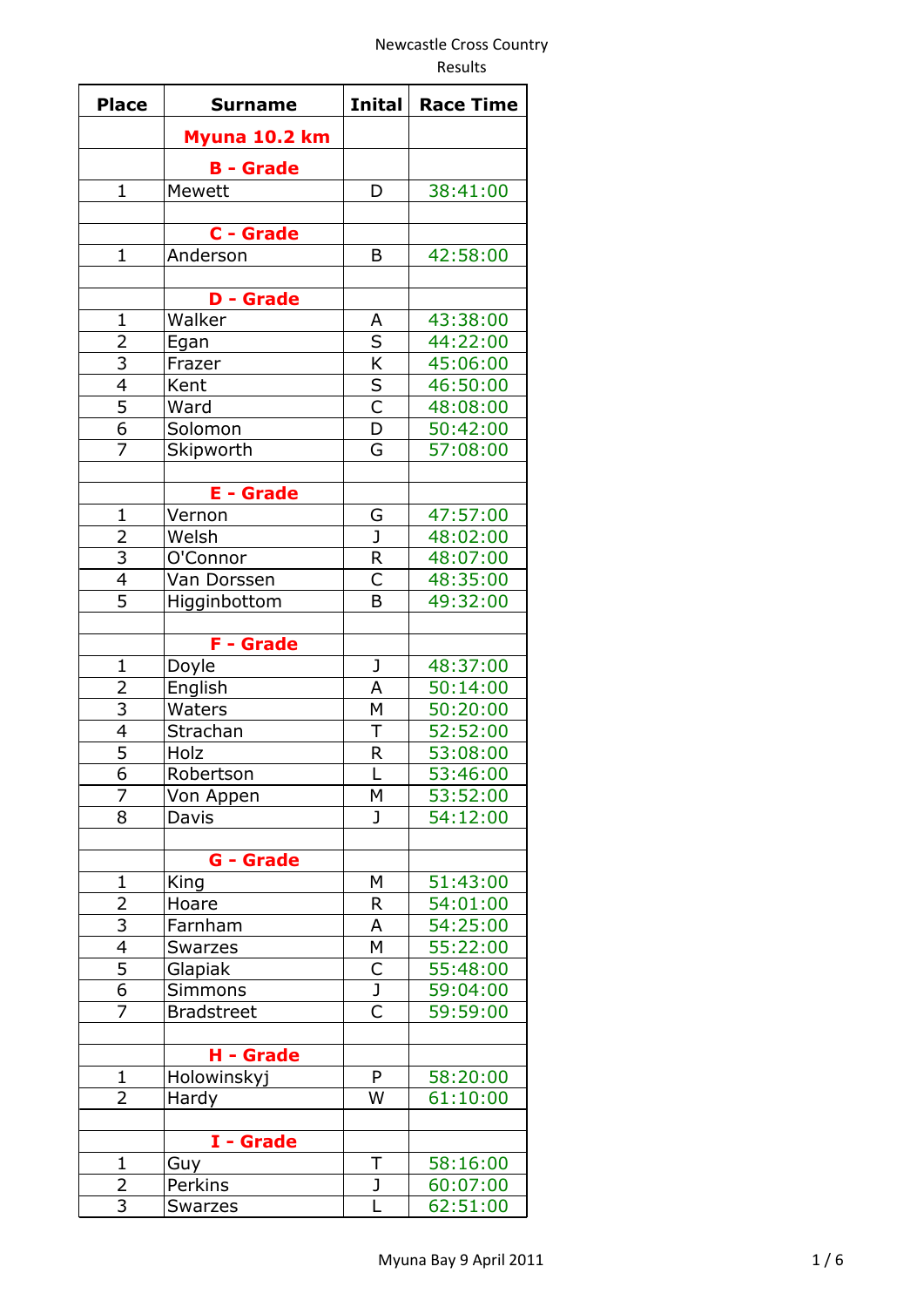| <b>Place</b>                     | <b>Surname</b>             | <b>Inital</b>                       | <b>Race Time</b>     |
|----------------------------------|----------------------------|-------------------------------------|----------------------|
|                                  | Myuna 10.2 km              |                                     |                      |
|                                  | <b>B</b> - Grade           |                                     |                      |
| $\mathbf{1}$                     | Mewett                     | D                                   | 38:41:00             |
|                                  |                            |                                     |                      |
|                                  | C - Grade                  |                                     |                      |
| $\mathbf{1}$                     | Anderson                   | B                                   | 42:58:00             |
|                                  |                            |                                     |                      |
| $\mathbf 1$                      | <b>D</b> - Grade<br>Walker | Α                                   | 43:38:00             |
| 2                                | Egan                       | $\overline{\mathsf{S}}$             | 44:22:00             |
|                                  | Frazer                     |                                     | 45:06:00             |
| $\frac{3}{4}$                    | Kent                       | $\frac{\overline{K}}{\overline{S}}$ | 46:50:00             |
|                                  | Ward                       |                                     | 48:08:00             |
| $\overline{6}$                   | Solomon                    | D                                   | 50:42:00             |
| $\overline{z}$                   | Skipworth                  | G                                   | 57:08:00             |
|                                  |                            |                                     |                      |
|                                  | <b>E</b> - Grade           |                                     |                      |
| $\mathbf{1}$                     | Vernon                     | G                                   | 47:57:00             |
| $\overline{\mathbf{c}}$          | Welsh                      | J                                   | 48:02:00             |
| $\overline{3}$                   | O'Connor                   | $\mathsf R$                         | 48:07:00             |
| $\overline{4}$                   | Van Dorssen                | $\overline{\overline{\mathsf{C}}}$  | 48:35:00             |
| $\overline{5}$                   | Higginbottom               | B                                   | 49:32:00             |
|                                  |                            |                                     |                      |
|                                  | F - Grade                  |                                     |                      |
| $\mathbf{1}$                     | Doyle                      | J<br>A                              | 48:37:00             |
| $\overline{2}$<br>$\overline{3}$ | English                    | M                                   | 50:14:00             |
| $\overline{4}$                   | Waters                     | Τ                                   | 50:20:00             |
| $\overline{5}$                   | Strachan<br>Holz           | R                                   | 52:52:00<br>53:08:00 |
| $\overline{6}$                   | Robertson                  |                                     | 53:46:00             |
| 7                                | Von Appen                  | М                                   | 53:52:00             |
| 8                                | Davis                      | $\mathbf{J}$                        | 54:12:00             |
|                                  |                            |                                     |                      |
|                                  | G - Grade                  |                                     |                      |
| 1                                | King                       | M                                   | 51:43:00             |
| $\overline{2}$                   | Hoare                      | R                                   | 54:01:00             |
| 3                                | Farnham                    | A                                   | 54:25:00             |
| 4                                | <b>Swarzes</b>             | М                                   | 55:22:00             |
| $\overline{5}$                   | Glapiak                    | $rac{C}{J}$                         | 55:48:00             |
| $\overline{6}$                   | <b>Simmons</b>             |                                     | 59:04:00             |
| 7                                | <b>Bradstreet</b>          | Ċ                                   | 59:59:00             |
|                                  |                            |                                     |                      |
|                                  | H - Grade                  |                                     |                      |
| 1                                | Holowinskyj                | P                                   | 58:20:00             |
| 2                                | Hardy                      | W                                   | 61:10:00             |
|                                  | I - Grade                  |                                     |                      |
| $\mathbf 1$                      | Guy                        | Τ                                   | 58:16:00             |
| 2                                | Perkins                    | J                                   | 60:07:00             |
| $\overline{3}$                   | <b>Swarzes</b>             | L                                   | 62:51:00             |
|                                  |                            |                                     |                      |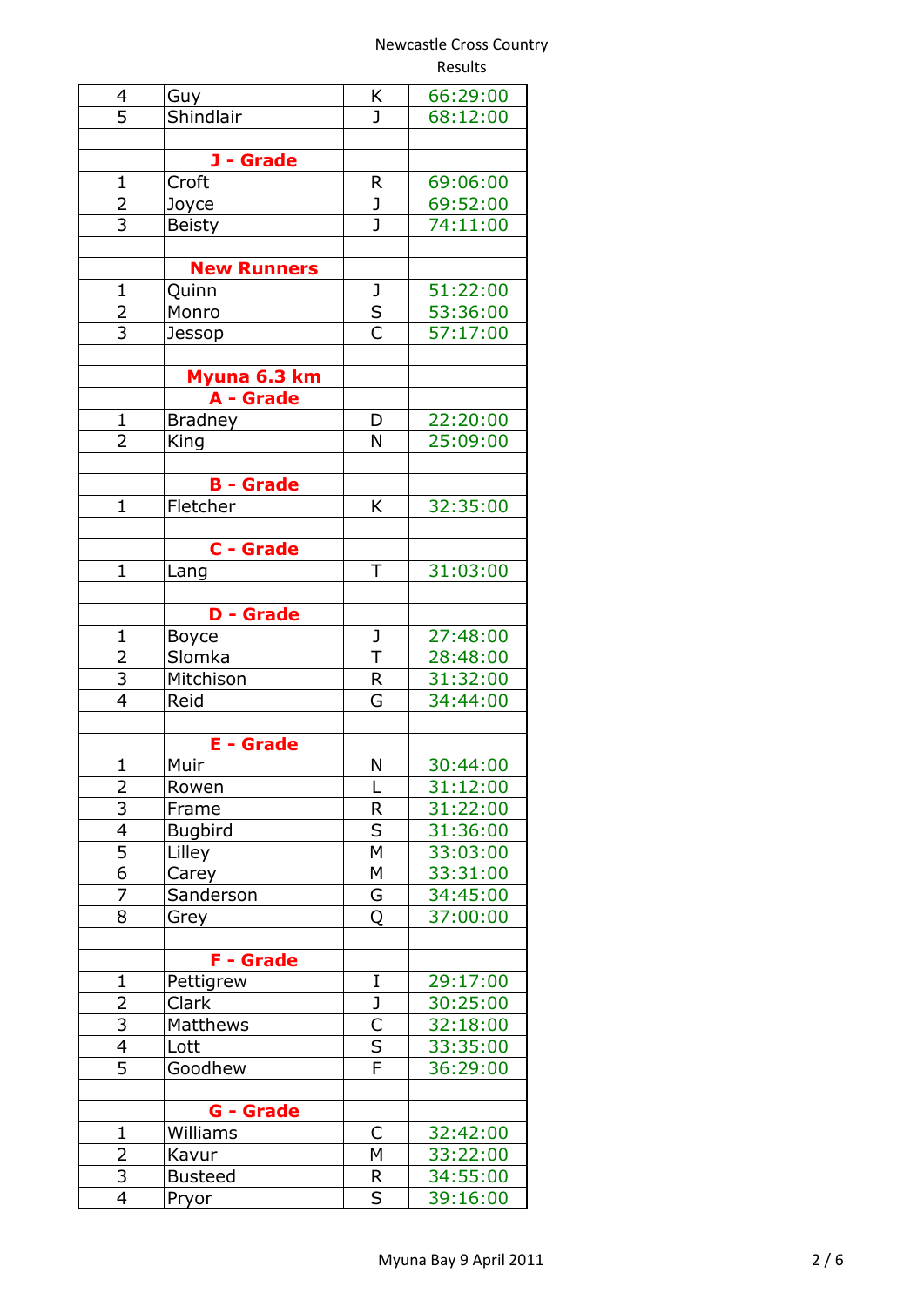| 4                       | Guy                | Κ                       | 66:29:00 |
|-------------------------|--------------------|-------------------------|----------|
| 5                       | Shindlair          | $\mathbf{J}$            | 68:12:00 |
|                         |                    |                         |          |
|                         | J - Grade          |                         |          |
| $\mathbf{1}$            | Croft              | R                       | 69:06:00 |
| $\overline{2}$          |                    | J                       | 69:52:00 |
|                         | Joyce              | J                       |          |
| $\overline{\mathbf{3}}$ | <b>Beisty</b>      |                         | 74:11:00 |
|                         |                    |                         |          |
|                         | <b>New Runners</b> |                         |          |
| $\mathbf 1$             | Quinn              | J                       | 51:22:00 |
| $\overline{2}$          | Monro              | $rac{S}{C}$             | 53:36:00 |
| $\overline{3}$          | Jessop             |                         | 57:17:00 |
|                         |                    |                         |          |
|                         | Myuna 6.3 km       |                         |          |
|                         |                    |                         |          |
|                         | A - Grade          |                         |          |
| 1                       | <b>Bradney</b>     | D                       | 22:20:00 |
| 2                       | King               | N                       | 25:09:00 |
|                         |                    |                         |          |
|                         | <b>B</b> - Grade   |                         |          |
| $\mathbf{1}$            | Fletcher           | K                       | 32:35:00 |
|                         |                    |                         |          |
|                         | C - Grade          |                         |          |
|                         |                    |                         |          |
| $\mathbf{1}$            | Lang               | Τ                       | 31:03:00 |
|                         |                    |                         |          |
|                         | <b>D</b> - Grade   |                         |          |
| $\mathbf{1}$            | <b>Boyce</b>       | J                       | 27:48:00 |
| $\overline{2}$          | Slomka             | $\overline{T}$          | 28:48:00 |
|                         | Mitchison          | R                       | 31:32:00 |
| $\frac{3}{4}$           | Reid               | G                       | 34:44:00 |
|                         |                    |                         |          |
|                         |                    |                         |          |
|                         | <b>E</b> - Grade   |                         |          |
| $\mathbf{1}$            | Muir               | N                       | 30:44:00 |
| $\overline{2}$          | Rowen              | L                       | 31:12:00 |
| $\overline{3}$          | Frame              | R                       | 31:22:00 |
| $\overline{4}$          | <b>Bugbird</b>     | S                       | 31:36:00 |
| $\overline{5}$          | Lilley             | M                       | 33:03:00 |
| 6                       | Carey              | М                       | 33:31:00 |
| 7                       | Sanderson          | G                       | 34:45:00 |
|                         |                    |                         |          |
| 8                       | Grey               | Q                       | 37:00:00 |
|                         |                    |                         |          |
|                         | F - Grade          |                         |          |
| 1                       | Pettigrew          | I                       | 29:17:00 |
| $\overline{2}$          | Clark              | $\mathsf{J}$            | 30:25:00 |
| 3                       | Matthews           | $\overline{\mathsf{C}}$ | 32:18:00 |
| $\overline{4}$          | Lott               | $\overline{\mathsf{s}}$ | 33:35:00 |
| 5                       | Goodhew            | $\overline{\mathsf{F}}$ | 36:29:00 |
|                         |                    |                         |          |
|                         |                    |                         |          |
|                         | <b>G</b> - Grade   |                         |          |
| $\mathbf 1$             | Williams           | C                       | 32:42:00 |
| $\overline{2}$          | Kavur              | M                       | 33:22:00 |
| 3                       | <b>Busteed</b>     | R                       | 34:55:00 |
| $\overline{4}$          | Pryor              | S                       | 39:16:00 |
|                         |                    |                         |          |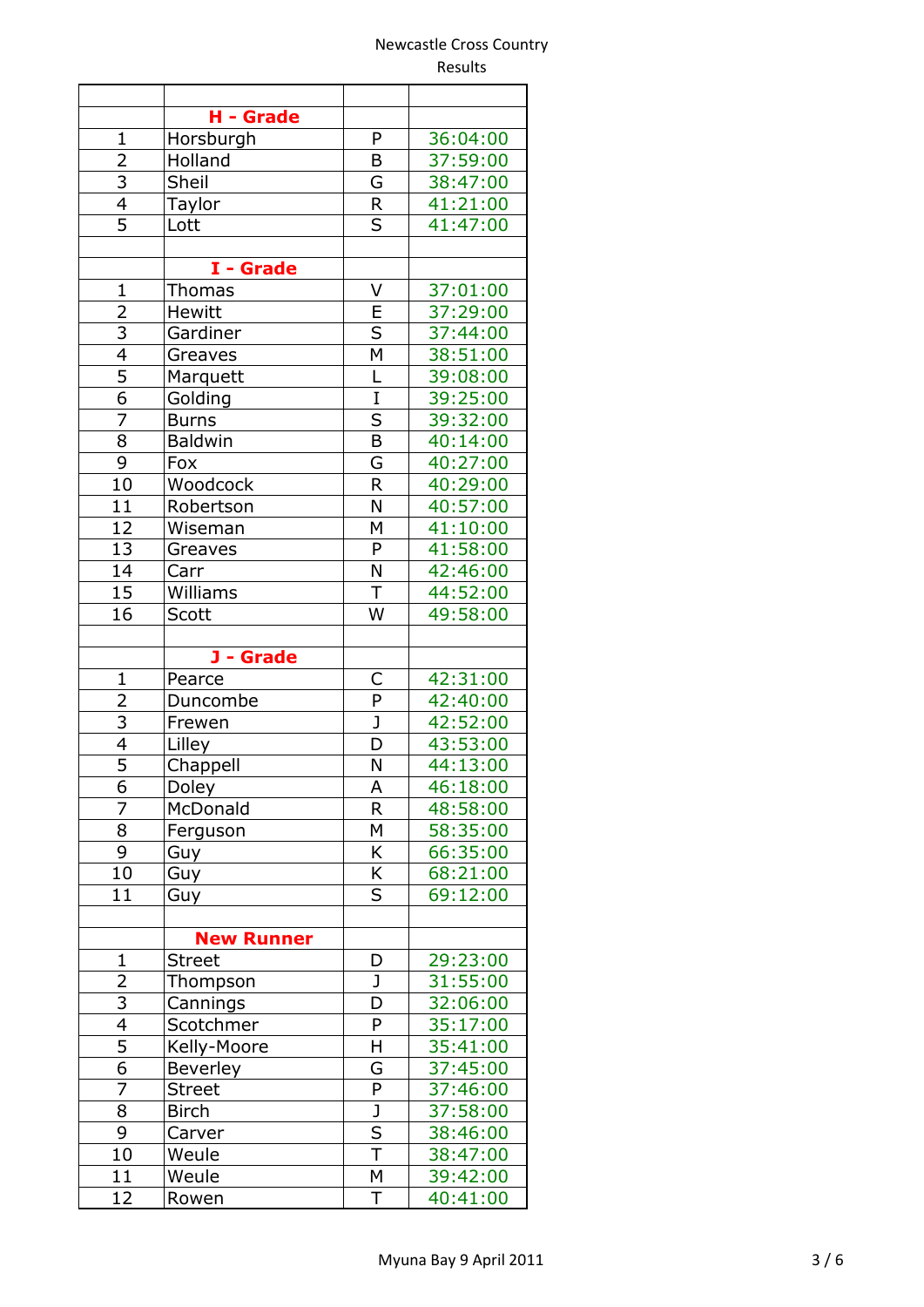|                | H - Grade         |                                          |                      |
|----------------|-------------------|------------------------------------------|----------------------|
| $\mathbf{1}$   | Horsburgh         | P                                        | 36:04:00             |
| $\overline{2}$ | Holland           | B                                        | 37:59:00             |
| $\overline{3}$ | Sheil             | G                                        | 38:47:00             |
| $\overline{4}$ | Taylor            | $\mathsf R$                              | 41:21:00             |
| 5              | Lott              | S                                        | 41:47:00             |
|                |                   |                                          |                      |
|                | I - Grade         |                                          |                      |
| 1              | <b>Thomas</b>     | V                                        | 37:01:00             |
| $\overline{2}$ | Hewitt            | E                                        | 37:29:00             |
|                | Gardiner          | S                                        | 37:44:00             |
| $\frac{3}{4}$  | Greaves           | M                                        | 38:51:00             |
| $\overline{5}$ | Marquett          | L                                        | 39:08:00             |
| $\overline{6}$ | Golding           | $\overline{I}$                           | 39:25:00             |
| $\overline{7}$ | <b>Burns</b>      | $\sf S$                                  | 39:32:00             |
| 8              | <b>Baldwin</b>    | B                                        | 40:14:00             |
| 9              | Fox               | G                                        | 40:27:00             |
| 10             | Woodcock          | R                                        | 40:29:00             |
| 11             | Robertson         | N                                        | 40:57:00             |
| 12             | Wiseman           | M                                        | 41:10:00             |
| 13             | Greaves           | P                                        | 41:58:00             |
| 14             | Carr              | N                                        | 42:46:00             |
| 15             | Williams          | T                                        | 44:52:00             |
| 16             | Scott             | W                                        | 49:58:00             |
|                |                   |                                          |                      |
|                | J - Grade         |                                          |                      |
| $\mathbf{1}$   | Pearce            | C                                        | 42:31:00             |
| $\overline{2}$ | Duncombe          | P                                        | 42:40:00             |
| 3              | Frewen            | J                                        | 42:52:00             |
| $\overline{4}$ | Lilley            | D                                        | 43:53:00             |
| 5              | Chappell          | N                                        | 44:13:00             |
| 6              | Doley             | Α                                        | 46:18:00             |
| $\overline{7}$ | McDonald          | R                                        | 48:58:00             |
| 8              | Ferguson          | Μ                                        | 58:35:00             |
| 9              | Guy               | K                                        | 66:35:00             |
| 10             | Guy               | Κ                                        | 68:21:00             |
| 11             | Guy               | S                                        | 69:12:00             |
|                |                   |                                          |                      |
|                | <b>New Runner</b> |                                          |                      |
| $\mathbf{1}$   | <b>Street</b>     | D                                        | 29:23:00             |
| 2              | Thompson          | J                                        | 31:55:00             |
| 3              | Cannings          | D                                        | 32:06:00             |
| $\overline{4}$ |                   |                                          |                      |
|                | Scotchmer         | P                                        | 35:17:00             |
| 5              | Kelly-Moore       | Η                                        | 35:41:00             |
| 6              | Beverley          | G                                        | 37:45:00             |
| 7              | <b>Street</b>     | P                                        | 37:46:00             |
| 8              | <b>Birch</b>      |                                          |                      |
| 9              |                   | J                                        | 37:58:00             |
| 10             | Carver            |                                          | 38:46:00             |
| 11             | Weule<br>Weule    | $\frac{\overline{S}}{\overline{T}}$<br>M | 38:47:00<br>39:42:00 |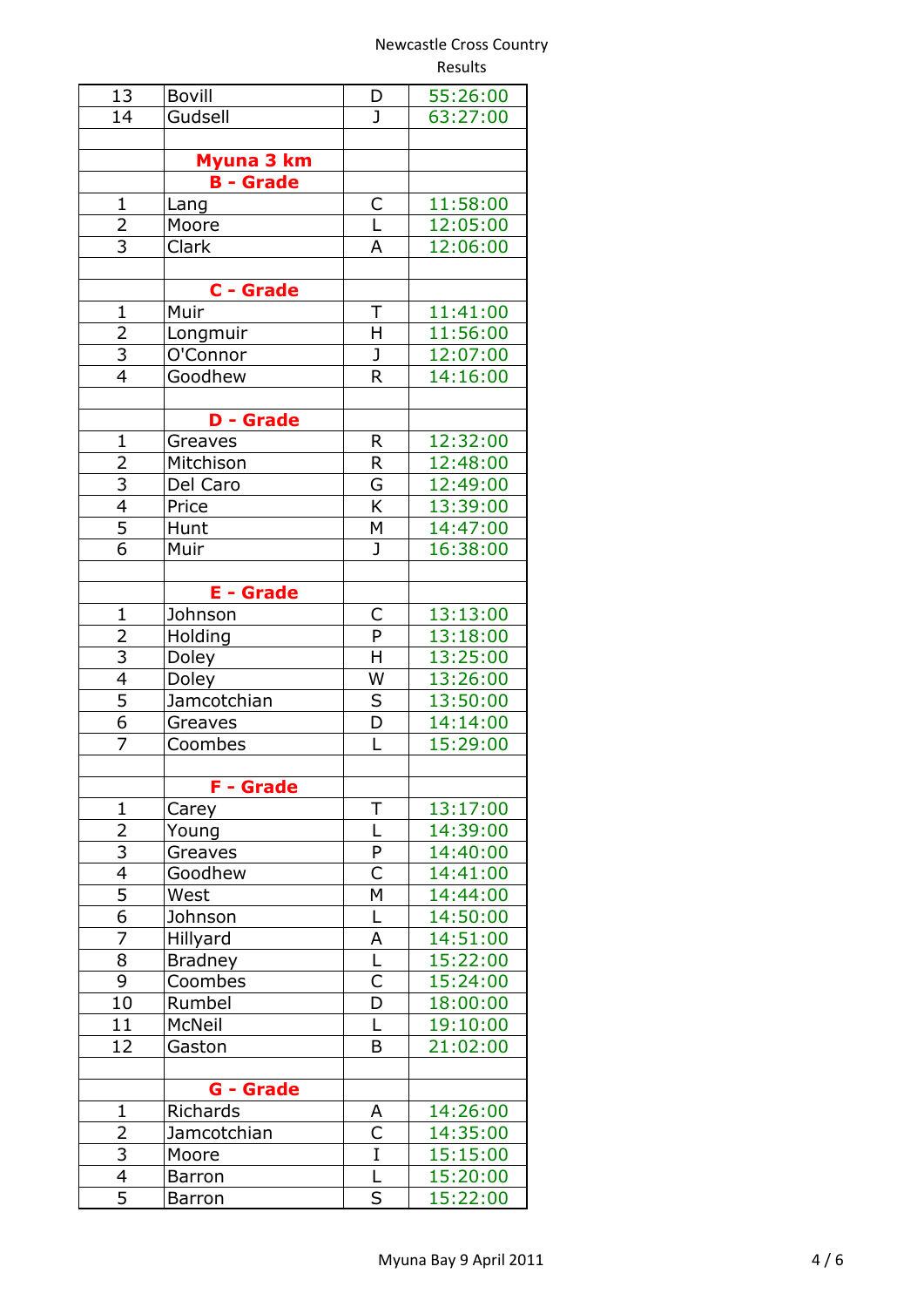| 14<br>Gudsell<br>$\mathbf{J}$<br>63:27:00<br>Myuna 3 km<br><b>B</b> - Grade<br>$\mathbf{1}$<br>$\mathsf C$<br>11:58:00<br>Lang<br>L<br>$\overline{2}$<br>Moore<br>12:05:00<br>$\overline{3}$<br>A<br>Clark<br>12:06:00<br>C - Grade<br>$\mathbf{1}$<br>T<br>11:41:00<br>Muir<br>$\frac{2}{3}$<br>H<br>11:56:00<br>Longmuir<br>$\overline{\mathsf{J}}$<br>O'Connor<br>12:07:00<br>$\overline{4}$<br>R<br>Goodhew<br>14:16:00<br><b>D</b> - Grade<br>R<br>$\mathbf 1$<br>12:32:00<br>Greaves<br>$\overline{2}$<br>R<br>12:48:00<br>Mitchison<br>$\frac{3}{4}$<br>G<br>Del Caro<br>12:49:00<br>$\overline{\mathsf{K}}$<br>Price<br>13:39:00<br>M<br>Hunt<br>14:47:00<br>$\overline{6}$<br>J<br>16:38:00<br>Muir<br><b>E</b> - Grade<br>$\mathbf{1}$<br>C<br>13:13:00<br>Johnson<br>P<br>$\overline{2}$<br>Holding<br>13:18:00<br>$\overline{3}$<br>H<br>13:25:00<br>Doley<br>4<br>W<br>13:26:00<br>Doley<br>$\overline{5}$<br>$\sf S$<br>13:50:00<br>Jamcotchian<br>6<br>D<br>14:14:00<br>Greaves<br>$\overline{7}$<br>Ē<br>15:29:00<br>Coombes<br>F - Grade<br>$\mathbf{1}$<br>13:17:00<br>Τ<br>Carey<br>Ĺ<br>14:39:00<br>$\overline{2}$<br>Young<br>$\overline{3}$<br>P<br>14:40:00<br>Greaves<br>4<br>Ċ<br>14:41:00<br>Goodhew<br>$\overline{5}$<br>M<br>West<br>14:44:00<br>6<br>L<br>14:50:00<br>Johnson<br>$\overline{7}$<br>A<br>14:51:00<br>Hillyard<br>8<br><b>Bradney</b><br>L<br>15:22:00<br>9<br>Coombes<br>C<br>15:24:00<br>D<br>10<br>Rumbel<br>18:00:00<br>11<br><b>McNeil</b><br>19:10:00<br>L<br>12<br>B<br>21:02:00<br>Gaston<br>G - Grade<br>Richards<br>14:26:00<br>$\mathbf{1}$<br>А<br>C<br>Jamcotchian<br>14:35:00<br>2<br>$\overline{3}$<br>$\overline{I}$<br>15:15:00<br>Moore<br>$\overline{\mathbf{4}}$<br>15:20:00<br><b>Barron</b><br>L<br>$\overline{5}$<br>S<br>15:22:00<br><b>Barron</b> | 13 | <b>Bovill</b> | D | 55:26:00 |
|-----------------------------------------------------------------------------------------------------------------------------------------------------------------------------------------------------------------------------------------------------------------------------------------------------------------------------------------------------------------------------------------------------------------------------------------------------------------------------------------------------------------------------------------------------------------------------------------------------------------------------------------------------------------------------------------------------------------------------------------------------------------------------------------------------------------------------------------------------------------------------------------------------------------------------------------------------------------------------------------------------------------------------------------------------------------------------------------------------------------------------------------------------------------------------------------------------------------------------------------------------------------------------------------------------------------------------------------------------------------------------------------------------------------------------------------------------------------------------------------------------------------------------------------------------------------------------------------------------------------------------------------------------------------------------------------------------------------------------------------------------------------------------------------------------------------------|----|---------------|---|----------|
|                                                                                                                                                                                                                                                                                                                                                                                                                                                                                                                                                                                                                                                                                                                                                                                                                                                                                                                                                                                                                                                                                                                                                                                                                                                                                                                                                                                                                                                                                                                                                                                                                                                                                                                                                                                                                       |    |               |   |          |
|                                                                                                                                                                                                                                                                                                                                                                                                                                                                                                                                                                                                                                                                                                                                                                                                                                                                                                                                                                                                                                                                                                                                                                                                                                                                                                                                                                                                                                                                                                                                                                                                                                                                                                                                                                                                                       |    |               |   |          |
|                                                                                                                                                                                                                                                                                                                                                                                                                                                                                                                                                                                                                                                                                                                                                                                                                                                                                                                                                                                                                                                                                                                                                                                                                                                                                                                                                                                                                                                                                                                                                                                                                                                                                                                                                                                                                       |    |               |   |          |
|                                                                                                                                                                                                                                                                                                                                                                                                                                                                                                                                                                                                                                                                                                                                                                                                                                                                                                                                                                                                                                                                                                                                                                                                                                                                                                                                                                                                                                                                                                                                                                                                                                                                                                                                                                                                                       |    |               |   |          |
|                                                                                                                                                                                                                                                                                                                                                                                                                                                                                                                                                                                                                                                                                                                                                                                                                                                                                                                                                                                                                                                                                                                                                                                                                                                                                                                                                                                                                                                                                                                                                                                                                                                                                                                                                                                                                       |    |               |   |          |
|                                                                                                                                                                                                                                                                                                                                                                                                                                                                                                                                                                                                                                                                                                                                                                                                                                                                                                                                                                                                                                                                                                                                                                                                                                                                                                                                                                                                                                                                                                                                                                                                                                                                                                                                                                                                                       |    |               |   |          |
|                                                                                                                                                                                                                                                                                                                                                                                                                                                                                                                                                                                                                                                                                                                                                                                                                                                                                                                                                                                                                                                                                                                                                                                                                                                                                                                                                                                                                                                                                                                                                                                                                                                                                                                                                                                                                       |    |               |   |          |
|                                                                                                                                                                                                                                                                                                                                                                                                                                                                                                                                                                                                                                                                                                                                                                                                                                                                                                                                                                                                                                                                                                                                                                                                                                                                                                                                                                                                                                                                                                                                                                                                                                                                                                                                                                                                                       |    |               |   |          |
|                                                                                                                                                                                                                                                                                                                                                                                                                                                                                                                                                                                                                                                                                                                                                                                                                                                                                                                                                                                                                                                                                                                                                                                                                                                                                                                                                                                                                                                                                                                                                                                                                                                                                                                                                                                                                       |    |               |   |          |
|                                                                                                                                                                                                                                                                                                                                                                                                                                                                                                                                                                                                                                                                                                                                                                                                                                                                                                                                                                                                                                                                                                                                                                                                                                                                                                                                                                                                                                                                                                                                                                                                                                                                                                                                                                                                                       |    |               |   |          |
|                                                                                                                                                                                                                                                                                                                                                                                                                                                                                                                                                                                                                                                                                                                                                                                                                                                                                                                                                                                                                                                                                                                                                                                                                                                                                                                                                                                                                                                                                                                                                                                                                                                                                                                                                                                                                       |    |               |   |          |
|                                                                                                                                                                                                                                                                                                                                                                                                                                                                                                                                                                                                                                                                                                                                                                                                                                                                                                                                                                                                                                                                                                                                                                                                                                                                                                                                                                                                                                                                                                                                                                                                                                                                                                                                                                                                                       |    |               |   |          |
|                                                                                                                                                                                                                                                                                                                                                                                                                                                                                                                                                                                                                                                                                                                                                                                                                                                                                                                                                                                                                                                                                                                                                                                                                                                                                                                                                                                                                                                                                                                                                                                                                                                                                                                                                                                                                       |    |               |   |          |
|                                                                                                                                                                                                                                                                                                                                                                                                                                                                                                                                                                                                                                                                                                                                                                                                                                                                                                                                                                                                                                                                                                                                                                                                                                                                                                                                                                                                                                                                                                                                                                                                                                                                                                                                                                                                                       |    |               |   |          |
|                                                                                                                                                                                                                                                                                                                                                                                                                                                                                                                                                                                                                                                                                                                                                                                                                                                                                                                                                                                                                                                                                                                                                                                                                                                                                                                                                                                                                                                                                                                                                                                                                                                                                                                                                                                                                       |    |               |   |          |
|                                                                                                                                                                                                                                                                                                                                                                                                                                                                                                                                                                                                                                                                                                                                                                                                                                                                                                                                                                                                                                                                                                                                                                                                                                                                                                                                                                                                                                                                                                                                                                                                                                                                                                                                                                                                                       |    |               |   |          |
|                                                                                                                                                                                                                                                                                                                                                                                                                                                                                                                                                                                                                                                                                                                                                                                                                                                                                                                                                                                                                                                                                                                                                                                                                                                                                                                                                                                                                                                                                                                                                                                                                                                                                                                                                                                                                       |    |               |   |          |
|                                                                                                                                                                                                                                                                                                                                                                                                                                                                                                                                                                                                                                                                                                                                                                                                                                                                                                                                                                                                                                                                                                                                                                                                                                                                                                                                                                                                                                                                                                                                                                                                                                                                                                                                                                                                                       |    |               |   |          |
|                                                                                                                                                                                                                                                                                                                                                                                                                                                                                                                                                                                                                                                                                                                                                                                                                                                                                                                                                                                                                                                                                                                                                                                                                                                                                                                                                                                                                                                                                                                                                                                                                                                                                                                                                                                                                       |    |               |   |          |
|                                                                                                                                                                                                                                                                                                                                                                                                                                                                                                                                                                                                                                                                                                                                                                                                                                                                                                                                                                                                                                                                                                                                                                                                                                                                                                                                                                                                                                                                                                                                                                                                                                                                                                                                                                                                                       |    |               |   |          |
|                                                                                                                                                                                                                                                                                                                                                                                                                                                                                                                                                                                                                                                                                                                                                                                                                                                                                                                                                                                                                                                                                                                                                                                                                                                                                                                                                                                                                                                                                                                                                                                                                                                                                                                                                                                                                       |    |               |   |          |
|                                                                                                                                                                                                                                                                                                                                                                                                                                                                                                                                                                                                                                                                                                                                                                                                                                                                                                                                                                                                                                                                                                                                                                                                                                                                                                                                                                                                                                                                                                                                                                                                                                                                                                                                                                                                                       |    |               |   |          |
|                                                                                                                                                                                                                                                                                                                                                                                                                                                                                                                                                                                                                                                                                                                                                                                                                                                                                                                                                                                                                                                                                                                                                                                                                                                                                                                                                                                                                                                                                                                                                                                                                                                                                                                                                                                                                       |    |               |   |          |
|                                                                                                                                                                                                                                                                                                                                                                                                                                                                                                                                                                                                                                                                                                                                                                                                                                                                                                                                                                                                                                                                                                                                                                                                                                                                                                                                                                                                                                                                                                                                                                                                                                                                                                                                                                                                                       |    |               |   |          |
|                                                                                                                                                                                                                                                                                                                                                                                                                                                                                                                                                                                                                                                                                                                                                                                                                                                                                                                                                                                                                                                                                                                                                                                                                                                                                                                                                                                                                                                                                                                                                                                                                                                                                                                                                                                                                       |    |               |   |          |
|                                                                                                                                                                                                                                                                                                                                                                                                                                                                                                                                                                                                                                                                                                                                                                                                                                                                                                                                                                                                                                                                                                                                                                                                                                                                                                                                                                                                                                                                                                                                                                                                                                                                                                                                                                                                                       |    |               |   |          |
|                                                                                                                                                                                                                                                                                                                                                                                                                                                                                                                                                                                                                                                                                                                                                                                                                                                                                                                                                                                                                                                                                                                                                                                                                                                                                                                                                                                                                                                                                                                                                                                                                                                                                                                                                                                                                       |    |               |   |          |
|                                                                                                                                                                                                                                                                                                                                                                                                                                                                                                                                                                                                                                                                                                                                                                                                                                                                                                                                                                                                                                                                                                                                                                                                                                                                                                                                                                                                                                                                                                                                                                                                                                                                                                                                                                                                                       |    |               |   |          |
|                                                                                                                                                                                                                                                                                                                                                                                                                                                                                                                                                                                                                                                                                                                                                                                                                                                                                                                                                                                                                                                                                                                                                                                                                                                                                                                                                                                                                                                                                                                                                                                                                                                                                                                                                                                                                       |    |               |   |          |
|                                                                                                                                                                                                                                                                                                                                                                                                                                                                                                                                                                                                                                                                                                                                                                                                                                                                                                                                                                                                                                                                                                                                                                                                                                                                                                                                                                                                                                                                                                                                                                                                                                                                                                                                                                                                                       |    |               |   |          |
|                                                                                                                                                                                                                                                                                                                                                                                                                                                                                                                                                                                                                                                                                                                                                                                                                                                                                                                                                                                                                                                                                                                                                                                                                                                                                                                                                                                                                                                                                                                                                                                                                                                                                                                                                                                                                       |    |               |   |          |
|                                                                                                                                                                                                                                                                                                                                                                                                                                                                                                                                                                                                                                                                                                                                                                                                                                                                                                                                                                                                                                                                                                                                                                                                                                                                                                                                                                                                                                                                                                                                                                                                                                                                                                                                                                                                                       |    |               |   |          |
|                                                                                                                                                                                                                                                                                                                                                                                                                                                                                                                                                                                                                                                                                                                                                                                                                                                                                                                                                                                                                                                                                                                                                                                                                                                                                                                                                                                                                                                                                                                                                                                                                                                                                                                                                                                                                       |    |               |   |          |
|                                                                                                                                                                                                                                                                                                                                                                                                                                                                                                                                                                                                                                                                                                                                                                                                                                                                                                                                                                                                                                                                                                                                                                                                                                                                                                                                                                                                                                                                                                                                                                                                                                                                                                                                                                                                                       |    |               |   |          |
|                                                                                                                                                                                                                                                                                                                                                                                                                                                                                                                                                                                                                                                                                                                                                                                                                                                                                                                                                                                                                                                                                                                                                                                                                                                                                                                                                                                                                                                                                                                                                                                                                                                                                                                                                                                                                       |    |               |   |          |
|                                                                                                                                                                                                                                                                                                                                                                                                                                                                                                                                                                                                                                                                                                                                                                                                                                                                                                                                                                                                                                                                                                                                                                                                                                                                                                                                                                                                                                                                                                                                                                                                                                                                                                                                                                                                                       |    |               |   |          |
|                                                                                                                                                                                                                                                                                                                                                                                                                                                                                                                                                                                                                                                                                                                                                                                                                                                                                                                                                                                                                                                                                                                                                                                                                                                                                                                                                                                                                                                                                                                                                                                                                                                                                                                                                                                                                       |    |               |   |          |
|                                                                                                                                                                                                                                                                                                                                                                                                                                                                                                                                                                                                                                                                                                                                                                                                                                                                                                                                                                                                                                                                                                                                                                                                                                                                                                                                                                                                                                                                                                                                                                                                                                                                                                                                                                                                                       |    |               |   |          |
|                                                                                                                                                                                                                                                                                                                                                                                                                                                                                                                                                                                                                                                                                                                                                                                                                                                                                                                                                                                                                                                                                                                                                                                                                                                                                                                                                                                                                                                                                                                                                                                                                                                                                                                                                                                                                       |    |               |   |          |
|                                                                                                                                                                                                                                                                                                                                                                                                                                                                                                                                                                                                                                                                                                                                                                                                                                                                                                                                                                                                                                                                                                                                                                                                                                                                                                                                                                                                                                                                                                                                                                                                                                                                                                                                                                                                                       |    |               |   |          |
|                                                                                                                                                                                                                                                                                                                                                                                                                                                                                                                                                                                                                                                                                                                                                                                                                                                                                                                                                                                                                                                                                                                                                                                                                                                                                                                                                                                                                                                                                                                                                                                                                                                                                                                                                                                                                       |    |               |   |          |
|                                                                                                                                                                                                                                                                                                                                                                                                                                                                                                                                                                                                                                                                                                                                                                                                                                                                                                                                                                                                                                                                                                                                                                                                                                                                                                                                                                                                                                                                                                                                                                                                                                                                                                                                                                                                                       |    |               |   |          |
|                                                                                                                                                                                                                                                                                                                                                                                                                                                                                                                                                                                                                                                                                                                                                                                                                                                                                                                                                                                                                                                                                                                                                                                                                                                                                                                                                                                                                                                                                                                                                                                                                                                                                                                                                                                                                       |    |               |   |          |
|                                                                                                                                                                                                                                                                                                                                                                                                                                                                                                                                                                                                                                                                                                                                                                                                                                                                                                                                                                                                                                                                                                                                                                                                                                                                                                                                                                                                                                                                                                                                                                                                                                                                                                                                                                                                                       |    |               |   |          |
|                                                                                                                                                                                                                                                                                                                                                                                                                                                                                                                                                                                                                                                                                                                                                                                                                                                                                                                                                                                                                                                                                                                                                                                                                                                                                                                                                                                                                                                                                                                                                                                                                                                                                                                                                                                                                       |    |               |   |          |
|                                                                                                                                                                                                                                                                                                                                                                                                                                                                                                                                                                                                                                                                                                                                                                                                                                                                                                                                                                                                                                                                                                                                                                                                                                                                                                                                                                                                                                                                                                                                                                                                                                                                                                                                                                                                                       |    |               |   |          |
|                                                                                                                                                                                                                                                                                                                                                                                                                                                                                                                                                                                                                                                                                                                                                                                                                                                                                                                                                                                                                                                                                                                                                                                                                                                                                                                                                                                                                                                                                                                                                                                                                                                                                                                                                                                                                       |    |               |   |          |
|                                                                                                                                                                                                                                                                                                                                                                                                                                                                                                                                                                                                                                                                                                                                                                                                                                                                                                                                                                                                                                                                                                                                                                                                                                                                                                                                                                                                                                                                                                                                                                                                                                                                                                                                                                                                                       |    |               |   |          |
|                                                                                                                                                                                                                                                                                                                                                                                                                                                                                                                                                                                                                                                                                                                                                                                                                                                                                                                                                                                                                                                                                                                                                                                                                                                                                                                                                                                                                                                                                                                                                                                                                                                                                                                                                                                                                       |    |               |   |          |
|                                                                                                                                                                                                                                                                                                                                                                                                                                                                                                                                                                                                                                                                                                                                                                                                                                                                                                                                                                                                                                                                                                                                                                                                                                                                                                                                                                                                                                                                                                                                                                                                                                                                                                                                                                                                                       |    |               |   |          |
|                                                                                                                                                                                                                                                                                                                                                                                                                                                                                                                                                                                                                                                                                                                                                                                                                                                                                                                                                                                                                                                                                                                                                                                                                                                                                                                                                                                                                                                                                                                                                                                                                                                                                                                                                                                                                       |    |               |   |          |
|                                                                                                                                                                                                                                                                                                                                                                                                                                                                                                                                                                                                                                                                                                                                                                                                                                                                                                                                                                                                                                                                                                                                                                                                                                                                                                                                                                                                                                                                                                                                                                                                                                                                                                                                                                                                                       |    |               |   |          |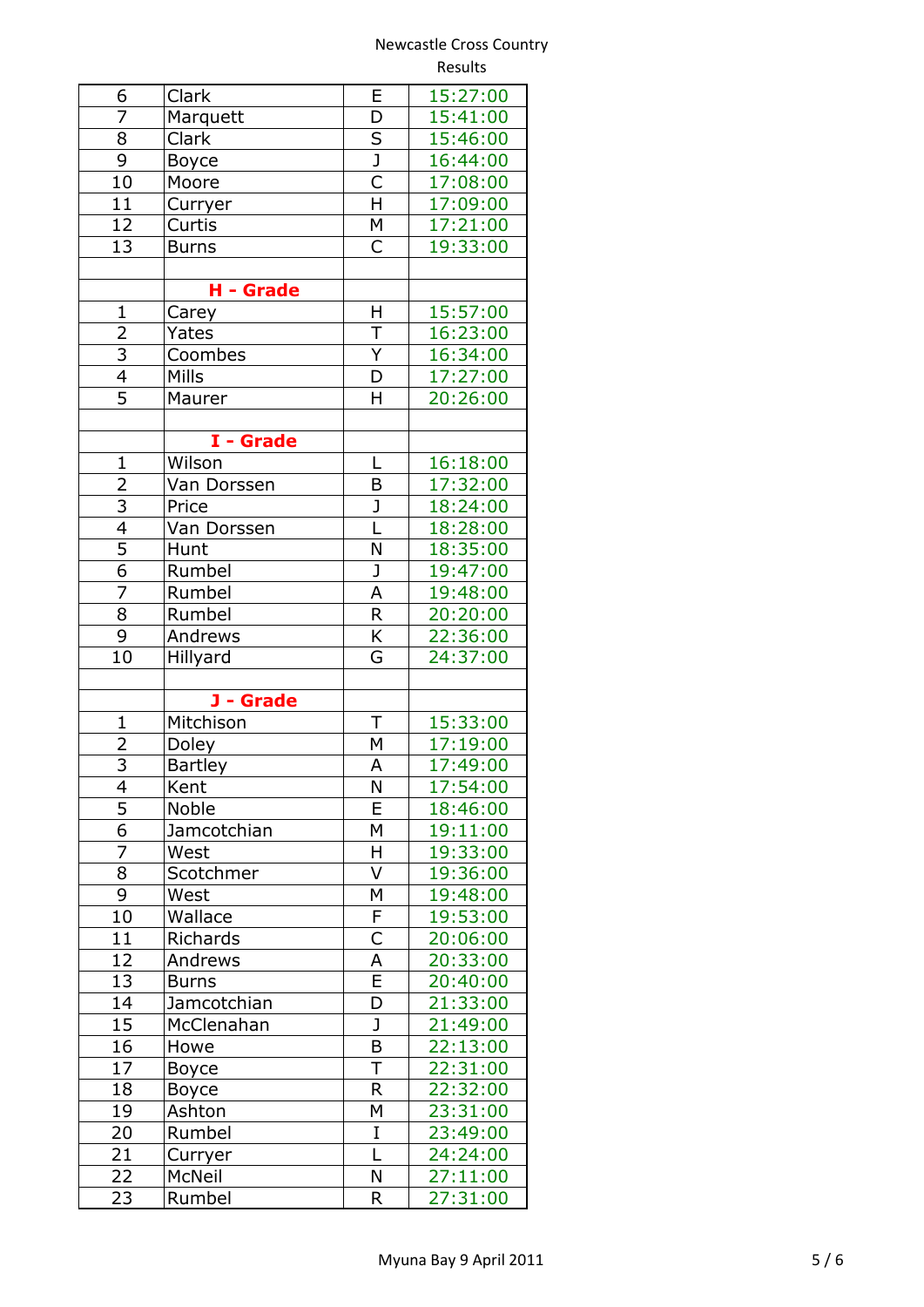| 6              | Clark                   | E                       | 15:27:00             |
|----------------|-------------------------|-------------------------|----------------------|
| 7              | Marquett                | D                       | 15:41:00             |
| 8              | Clark                   | $\overline{\mathsf{S}}$ | 15:46:00             |
| 9              | <b>Boyce</b>            | $rac{1}{C}$             | 16:44:00             |
| 10             | Moore                   |                         | 17:08:00             |
| 11             | Curryer                 | H                       | 17:09:00             |
| 12             | Curtis                  | M                       | 17:21:00             |
| 13             | <b>Burns</b>            | $\overline{\mathsf{C}}$ | 19:33:00             |
|                |                         |                         |                      |
|                | H - Grade               |                         |                      |
| $\mathbf 1$    | Carey                   | H                       | 15:57:00             |
| $\overline{2}$ | Yates                   | T                       | 16:23:00             |
|                |                         | Υ                       | 16:34:00             |
| $\frac{3}{4}$  | Coombes<br><b>Mills</b> | D                       |                      |
| $\overline{5}$ |                         |                         | 17:27:00             |
|                | Maurer                  | H                       | 20:26:00             |
|                |                         |                         |                      |
|                | I - Grade               |                         |                      |
| $\mathbf 1$    | Wilson                  | L                       | 16:18:00             |
| $\overline{2}$ | Van Dorssen             | B                       | 17:32:00             |
| $\frac{3}{4}$  | Price                   | $\frac{J}{L}$           | 18:24:00             |
|                | Van Dorssen             |                         | 18:28:00             |
| $\overline{5}$ | Hunt                    | N                       | 18:35:00             |
| $\overline{6}$ | Rumbel                  | J                       | 19:47:00             |
| 7              | Rumbel                  | A                       | 19:48:00             |
| 8              | Rumbel                  | $\mathsf R$             | 20:20:00             |
| $\overline{9}$ | Andrews                 | K                       | 22:36:00             |
| 10             | Hillyard                | G                       | 24:37:00             |
|                |                         |                         |                      |
|                | J - Grade               |                         |                      |
| $\mathbf{1}$   | Mitchison               | T                       | 15:33:00             |
|                | Doley                   | М                       | 17:19:00             |
| $\frac{2}{3}$  | <b>Bartley</b>          | A                       | 17:49:00             |
| 4              | Kent                    | Ν                       | 17:54:00             |
| 5              | Noble                   | E                       | 18:46:00             |
| 6              | Jamcotchian             | M                       | 19:11:00             |
| 7              | West                    | H                       | 19:33:00             |
| 8              | Scotchmer               | V                       | 19:36:00             |
| 9              | West                    | M                       | 19:48:00             |
| 10             | Wallace                 | F                       | 19:53:00             |
| 11             | Richards                | С                       | 20:06:00             |
| 12             | Andrews                 | A                       | 20:33:00             |
| 13             | <b>Burns</b>            | $\overline{\mathsf{E}}$ | 20:40:00             |
| 14             | Jamcotchian             | D                       | 21:33:00             |
| 15             | McClenahan              | J                       | 21:49:00             |
| 16             |                         | B                       |                      |
|                | Howe                    |                         | 22:13:00             |
| 17             | Boyce                   | Τ                       | 22:31:00             |
| 18             | <b>Boyce</b>            | R                       | 22:32:00             |
| 19             | Ashton                  | М                       | 23:31:00             |
| 20             | Rumbel                  | I                       | 23:49:00             |
|                |                         |                         |                      |
| 21             | Curryer                 | L                       | 24:24:00             |
| 22<br>23       | McNeil<br>Rumbel        | N<br>R                  | 27:11:00<br>27:31:00 |